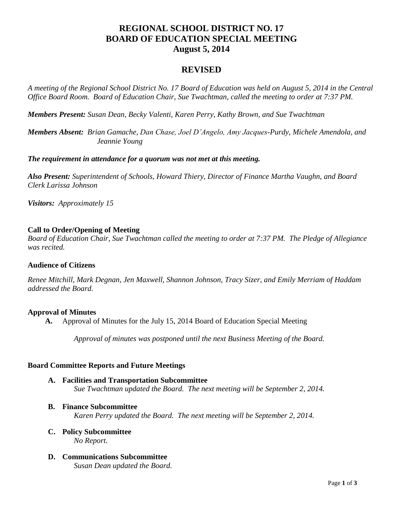# **REGIONAL SCHOOL DISTRICT NO. 17 BOARD OF EDUCATION SPECIAL MEETING August 5, 2014**

# **REVISED**

*A meeting of the Regional School District No. 17 Board of Education was held on August 5, 2014 in the Central Office Board Room. Board of Education Chair, Sue Twachtman, called the meeting to order at 7:37 PM.*

*Members Present: Susan Dean, Becky Valenti, Karen Perry, Kathy Brown, and Sue Twachtman*

*Members Absent: Brian Gamache, Dan Chase, Joel D'Angelo, Amy Jacques-Purdy, Michele Amendola, and Jeannie Young*

*The requirement in attendance for a quorum was not met at this meeting.*

*Also Present: Superintendent of Schools, Howard Thiery, Director of Finance Martha Vaughn, and Board Clerk Larissa Johnson*

*Visitors: Approximately 15*

# **Call to Order/Opening of Meeting**

*Board of Education Chair, Sue Twachtman called the meeting to order at 7:37 PM. The Pledge of Allegiance was recited.*

# **Audience of Citizens**

*Renee Mitchill, Mark Degnan, Jen Maxwell, Shannon Johnson, Tracy Sizer, and Emily Merriam of Haddam addressed the Board.*

# **Approval of Minutes**

**A.** Approval of Minutes for the July 15, 2014 Board of Education Special Meeting

*Approval of minutes was postponed until the next Business Meeting of the Board.*

# **Board Committee Reports and Future Meetings**

- **A. Facilities and Transportation Subcommittee**  *Sue Twachtman updated the Board. The next meeting will be September 2, 2014.*
- **B. Finance Subcommittee** *Karen Perry updated the Board. The next meeting will be September 2, 2014.*
- **C. Policy Subcommittee** *No Report.*
- **D. Communications Subcommittee** *Susan Dean updated the Board.*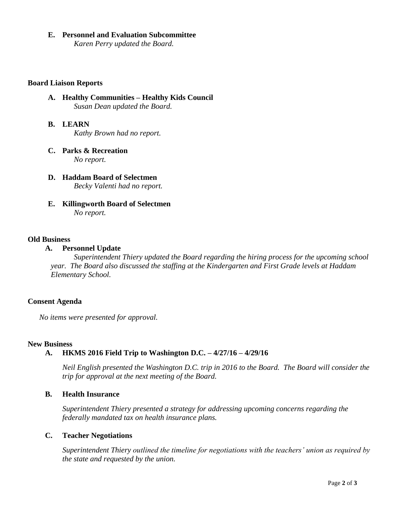#### **E. Personnel and Evaluation Subcommittee**

*Karen Perry updated the Board.* 

#### **Board Liaison Reports**

- **A. Healthy Communities – Healthy Kids Council** *Susan Dean updated the Board.*
- **B. LEARN**  *Kathy Brown had no report.*
- **C. Parks & Recreation** *No report.*
- **D. Haddam Board of Selectmen** *Becky Valenti had no report.*
- **E. Killingworth Board of Selectmen** *No report.*

#### **Old Business**

# **A. Personnel Update**

*Superintendent Thiery updated the Board regarding the hiring process for the upcoming school year. The Board also discussed the staffing at the Kindergarten and First Grade levels at Haddam Elementary School.*

# **Consent Agenda**

*No items were presented for approval.*

#### **New Business**

# **A. HKMS 2016 Field Trip to Washington D.C. – 4/27/16 – 4/29/16**

*Neil English presented the Washington D.C. trip in 2016 to the Board. The Board will consider the trip for approval at the next meeting of the Board.*

# **B. Health Insurance**

*Superintendent Thiery presented a strategy for addressing upcoming concerns regarding the federally mandated tax on health insurance plans.*

# **C. Teacher Negotiations**

*Superintendent Thiery outlined the timeline for negotiations with the teachers' union as required by the state and requested by the union.*